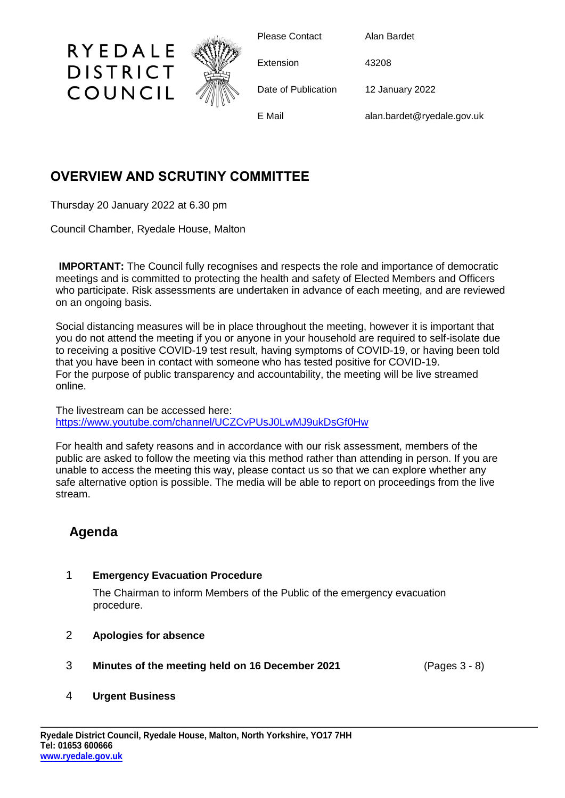

Please Contact Alan Bardet

Extension 43208

Date of Publication 12 January 2022

E Mail alan.bardet@ryedale.gov.uk

## **OVERVIEW AND SCRUTINY COMMITTEE**

Thursday 20 January 2022 at 6.30 pm

RYEDALE

**DISTRICT** 

COUNCIL

Council Chamber, Ryedale House, Malton

**IMPORTANT:** The Council fully recognises and respects the role and importance of democratic meetings and is committed to protecting the health and safety of Elected Members and Officers who participate. Risk assessments are undertaken in advance of each meeting, and are reviewed on an ongoing basis.

Social distancing measures will be in place throughout the meeting, however it is important that you do not attend the meeting if you or anyone in your household are required to self-isolate due to receiving a positive COVID-19 test result, having symptoms of COVID-19, or having been told that you have been in contact with someone who has tested positive for COVID-19. For the purpose of public transparency and accountability, the meeting will be live streamed online.

The livestream can be accessed here: <https://www.youtube.com/channel/UCZCvPUsJ0LwMJ9ukDsGf0Hw>

For health and safety reasons and in accordance with our risk assessment, members of the public are asked to follow the meeting via this method rather than attending in person. If you are unable to access the meeting this way, please contact us so that we can explore whether any safe alternative option is possible. The media will be able to report on proceedings from the live stream.

# **Agenda**

### 1 **Emergency Evacuation Procedure**

The Chairman to inform Members of the Public of the emergency evacuation procedure.

### 2 **Apologies for absence**

3 **Minutes of the meeting held on 16 December 2021** (Pages 3 - 8)

#### 4 **Urgent Business**